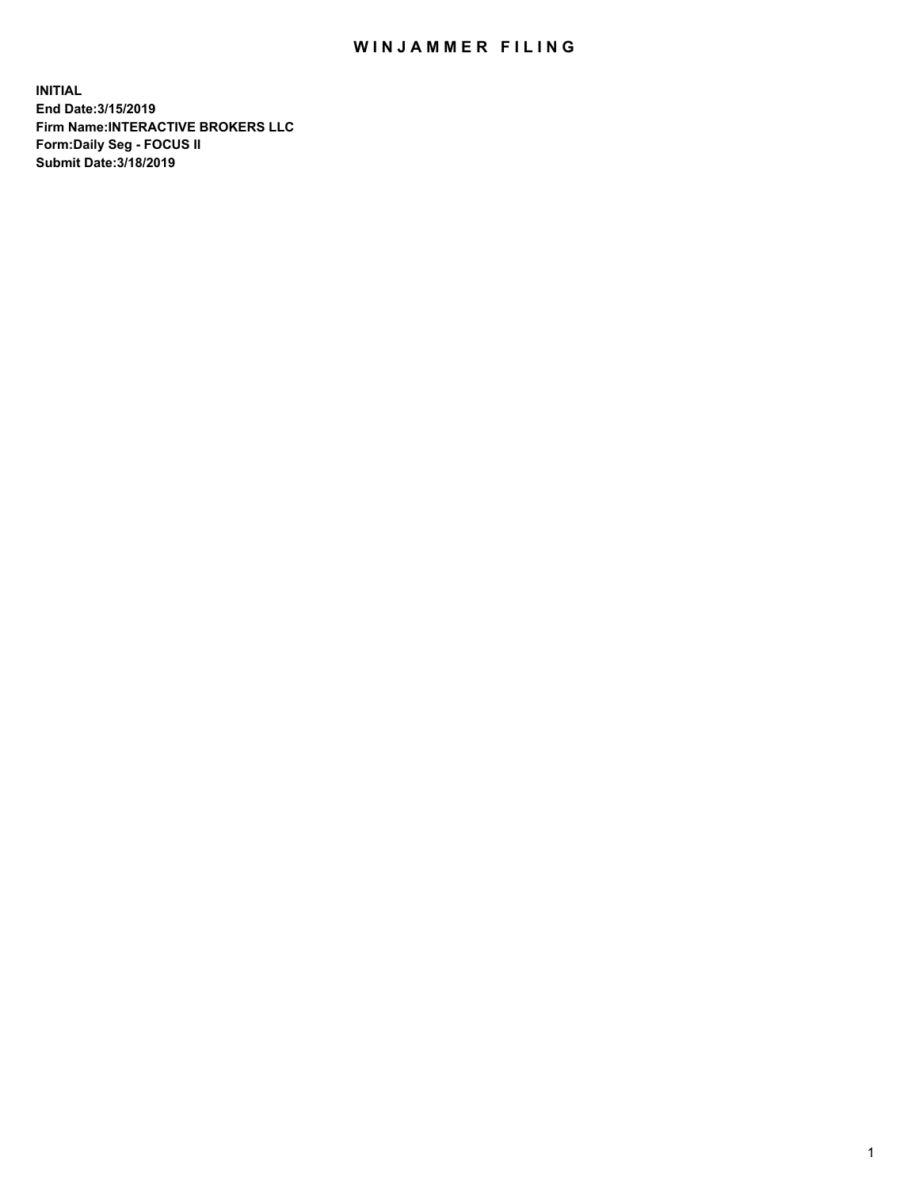## WIN JAMMER FILING

**INITIAL End Date:3/15/2019 Firm Name:INTERACTIVE BROKERS LLC Form:Daily Seg - FOCUS II Submit Date:3/18/2019**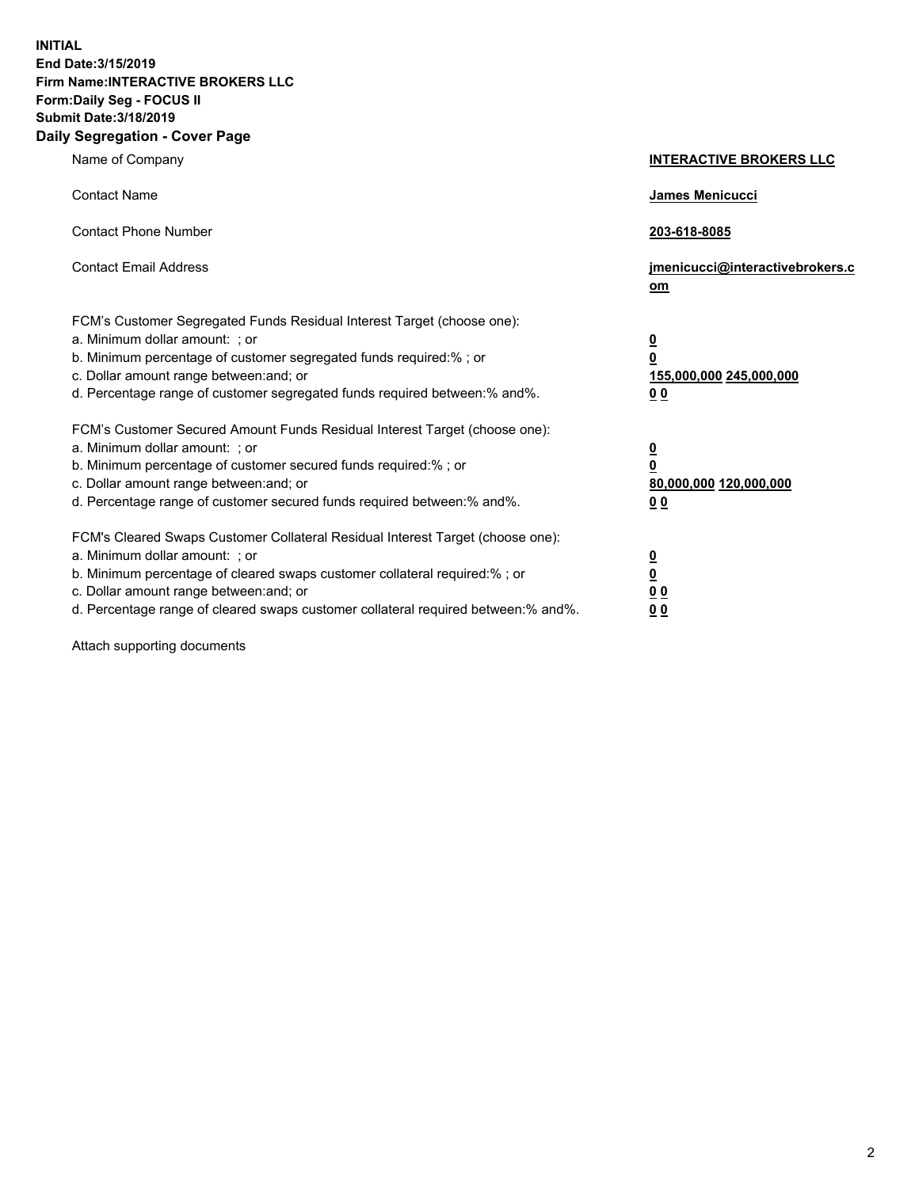**INITIAL End Date:3/15/2019 Firm Name:INTERACTIVE BROKERS LLC Form:Daily Seg - FOCUS II Submit Date:3/18/2019 Daily Segregation - Cover Page**

| Name of Company                                                                                                                                                                                                                                                                                                                | <b>INTERACTIVE BROKERS LLC</b>                                                                  |
|--------------------------------------------------------------------------------------------------------------------------------------------------------------------------------------------------------------------------------------------------------------------------------------------------------------------------------|-------------------------------------------------------------------------------------------------|
| <b>Contact Name</b>                                                                                                                                                                                                                                                                                                            | James Menicucci                                                                                 |
| <b>Contact Phone Number</b>                                                                                                                                                                                                                                                                                                    | 203-618-8085                                                                                    |
| <b>Contact Email Address</b>                                                                                                                                                                                                                                                                                                   | jmenicucci@interactivebrokers.c<br>om                                                           |
| FCM's Customer Segregated Funds Residual Interest Target (choose one):<br>a. Minimum dollar amount: ; or<br>b. Minimum percentage of customer segregated funds required:% ; or<br>c. Dollar amount range between: and; or<br>d. Percentage range of customer segregated funds required between:% and%.                         | $\overline{\mathbf{0}}$<br>$\overline{\mathbf{0}}$<br>155,000,000 245,000,000<br>0 <sub>0</sub> |
| FCM's Customer Secured Amount Funds Residual Interest Target (choose one):<br>a. Minimum dollar amount: ; or<br>b. Minimum percentage of customer secured funds required:% ; or<br>c. Dollar amount range between: and; or<br>d. Percentage range of customer secured funds required between:% and%.                           | $\overline{\mathbf{0}}$<br>0<br>80,000,000 120,000,000<br>0 <sub>0</sub>                        |
| FCM's Cleared Swaps Customer Collateral Residual Interest Target (choose one):<br>a. Minimum dollar amount: ; or<br>b. Minimum percentage of cleared swaps customer collateral required:% ; or<br>c. Dollar amount range between: and; or<br>d. Percentage range of cleared swaps customer collateral required between:% and%. | $\overline{\mathbf{0}}$<br><u>0</u><br>$\underline{0}$ $\underline{0}$<br>00                    |

Attach supporting documents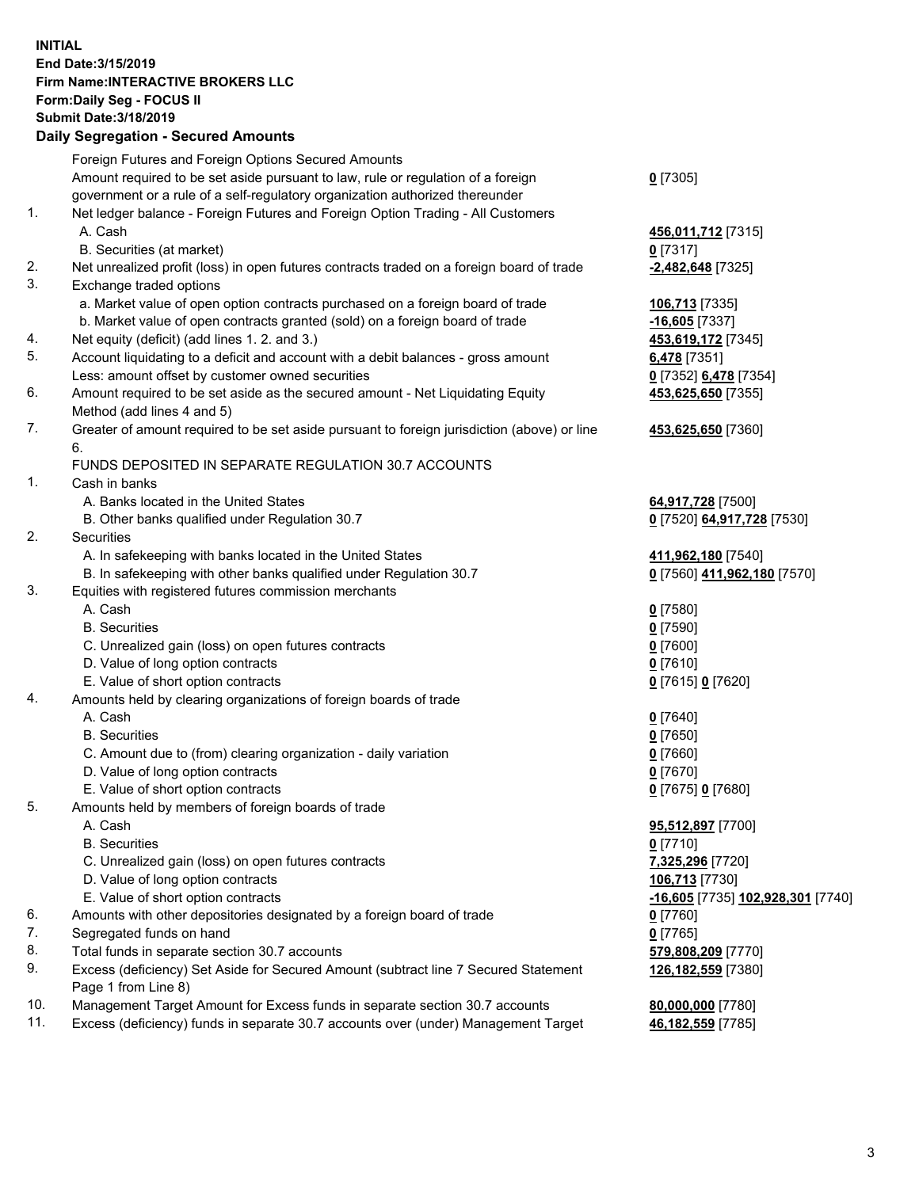## **INITIAL End Date:3/15/2019 Firm Name:INTERACTIVE BROKERS LLC Form:Daily Seg - FOCUS II Submit Date:3/18/2019 Daily Segregation - Secured Amounts**

|     | Daily Segregation - Secured Alliounts                                                                      |                                                 |
|-----|------------------------------------------------------------------------------------------------------------|-------------------------------------------------|
|     | Foreign Futures and Foreign Options Secured Amounts                                                        |                                                 |
|     | Amount required to be set aside pursuant to law, rule or regulation of a foreign                           | $0$ [7305]                                      |
|     | government or a rule of a self-regulatory organization authorized thereunder                               |                                                 |
| 1.  | Net ledger balance - Foreign Futures and Foreign Option Trading - All Customers                            |                                                 |
|     | A. Cash                                                                                                    | 456,011,712 [7315]                              |
|     | B. Securities (at market)                                                                                  | 0 [7317]                                        |
| 2.  | Net unrealized profit (loss) in open futures contracts traded on a foreign board of trade                  | $-2,482,648$ [7325]                             |
| 3.  | Exchange traded options                                                                                    |                                                 |
|     | a. Market value of open option contracts purchased on a foreign board of trade                             | 106,713 [7335]                                  |
|     | b. Market value of open contracts granted (sold) on a foreign board of trade                               | $-16,605$ [7337]                                |
| 4.  | Net equity (deficit) (add lines 1. 2. and 3.)                                                              | 453,619,172 [7345]                              |
| 5.  | Account liquidating to a deficit and account with a debit balances - gross amount                          | 6,478 [7351]                                    |
|     | Less: amount offset by customer owned securities                                                           | 0 [7352] 6,478 [7354]                           |
| 6.  | Amount required to be set aside as the secured amount - Net Liquidating Equity                             | 453,625,650 [7355]                              |
|     | Method (add lines 4 and 5)                                                                                 |                                                 |
| 7.  | Greater of amount required to be set aside pursuant to foreign jurisdiction (above) or line<br>6.          | 453,625,650 [7360]                              |
|     | FUNDS DEPOSITED IN SEPARATE REGULATION 30.7 ACCOUNTS                                                       |                                                 |
| 1.  | Cash in banks                                                                                              |                                                 |
|     | A. Banks located in the United States                                                                      | 64,917,728 [7500]                               |
|     | B. Other banks qualified under Regulation 30.7                                                             | 0 [7520] 64,917,728 [7530]                      |
| 2.  | Securities                                                                                                 |                                                 |
|     | A. In safekeeping with banks located in the United States                                                  | 411,962,180 [7540]                              |
|     | B. In safekeeping with other banks qualified under Regulation 30.7                                         | 0 [7560] 411,962,180 [7570]                     |
| 3.  | Equities with registered futures commission merchants                                                      |                                                 |
|     | A. Cash                                                                                                    | $0$ [7580]                                      |
|     | <b>B.</b> Securities                                                                                       | $0$ [7590]                                      |
|     | C. Unrealized gain (loss) on open futures contracts                                                        | $0$ [7600]                                      |
|     | D. Value of long option contracts                                                                          | $0$ [7610]                                      |
|     | E. Value of short option contracts                                                                         | 0 [7615] 0 [7620]                               |
| 4.  | Amounts held by clearing organizations of foreign boards of trade                                          |                                                 |
|     | A. Cash                                                                                                    | $0$ [7640]                                      |
|     | <b>B.</b> Securities                                                                                       | $0$ [7650]                                      |
|     | C. Amount due to (from) clearing organization - daily variation                                            | $0$ [7660]                                      |
|     | D. Value of long option contracts                                                                          | $0$ [7670]                                      |
|     | E. Value of short option contracts                                                                         | 0 [7675] 0 [7680]                               |
| 5.  | Amounts held by members of foreign boards of trade                                                         |                                                 |
|     | A. Cash                                                                                                    | 95,512,897 [7700]                               |
|     | <b>B.</b> Securities                                                                                       | $0$ [7710]                                      |
|     | C. Unrealized gain (loss) on open futures contracts                                                        | 7,325,296 [7720]                                |
|     | D. Value of long option contracts                                                                          | 106,713 [7730]                                  |
|     | E. Value of short option contracts                                                                         | <u>-16,605</u> [7735] <u>102,928,301</u> [7740] |
| 6.  | Amounts with other depositories designated by a foreign board of trade                                     | 0 [7760]                                        |
| 7.  | Segregated funds on hand                                                                                   | $0$ [7765]                                      |
| 8.  | Total funds in separate section 30.7 accounts                                                              | 579,808,209 [7770]                              |
| 9.  | Excess (deficiency) Set Aside for Secured Amount (subtract line 7 Secured Statement<br>Page 1 from Line 8) | 126,182,559 [7380]                              |
| 10. | Management Target Amount for Excess funds in separate section 30.7 accounts                                | 80,000,000 [7780]                               |
| 11. | Excess (deficiency) funds in separate 30.7 accounts over (under) Management Target                         | 46,182,559 [7785]                               |
|     |                                                                                                            |                                                 |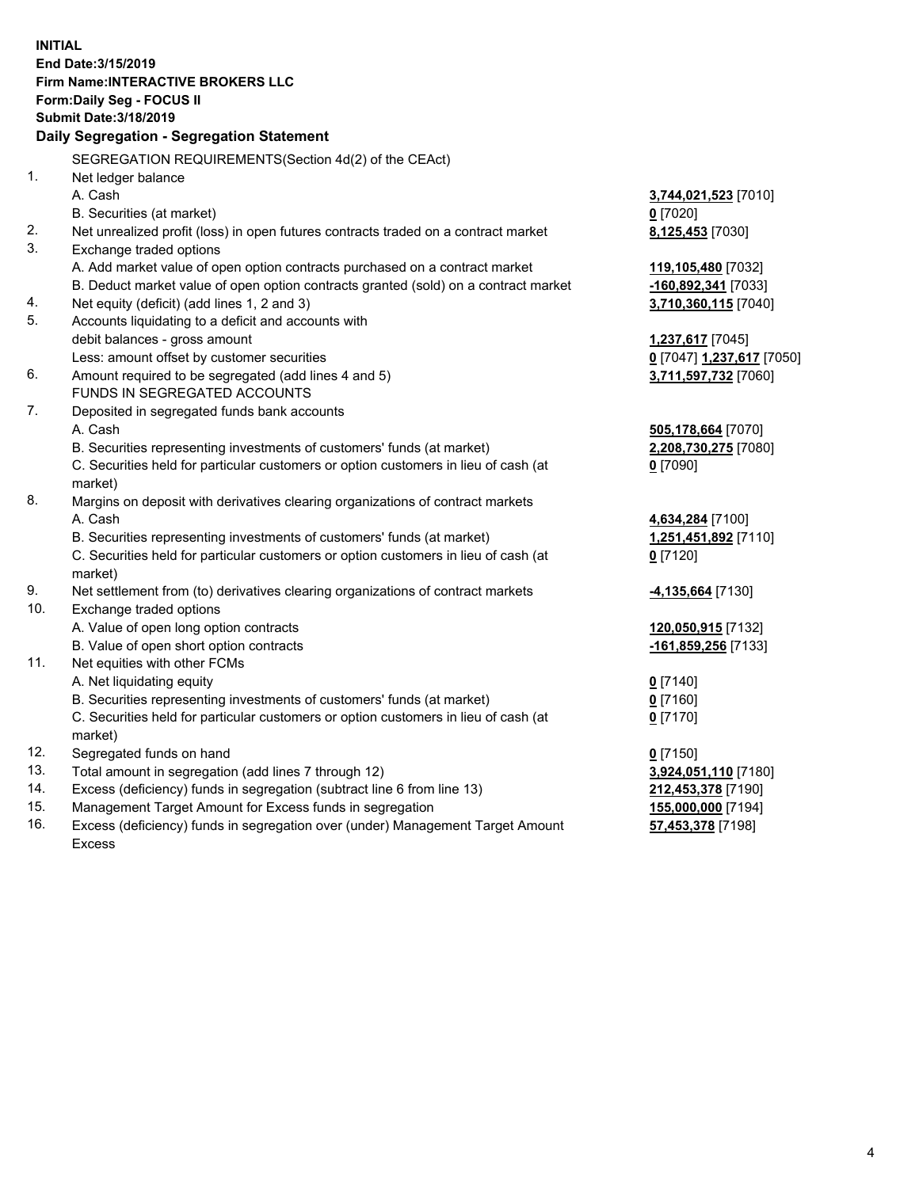**INITIAL End Date:3/15/2019 Firm Name:INTERACTIVE BROKERS LLC Form:Daily Seg - FOCUS II Submit Date:3/18/2019 Daily Segregation - Segregation Statement** SEGREGATION REQUIREMENTS(Section 4d(2) of the CEAct) 1. Net ledger balance A. Cash **3,744,021,523** [7010] B. Securities (at market) **0** [7020] 2. Net unrealized profit (loss) in open futures contracts traded on a contract market **8,125,453** [7030] 3. Exchange traded options A. Add market value of open option contracts purchased on a contract market **119,105,480** [7032] B. Deduct market value of open option contracts granted (sold) on a contract market **-160,892,341** [7033] 4. Net equity (deficit) (add lines 1, 2 and 3) **3,710,360,115** [7040] 5. Accounts liquidating to a deficit and accounts with debit balances - gross amount **1,237,617** [7045] Less: amount offset by customer securities **0** [7047] **1,237,617** [7050] 6. Amount required to be segregated (add lines 4 and 5) **3,711,597,732** [7060] FUNDS IN SEGREGATED ACCOUNTS 7. Deposited in segregated funds bank accounts A. Cash **505,178,664** [7070] B. Securities representing investments of customers' funds (at market) **2,208,730,275** [7080] C. Securities held for particular customers or option customers in lieu of cash (at market) **0** [7090] 8. Margins on deposit with derivatives clearing organizations of contract markets A. Cash **4,634,284** [7100] B. Securities representing investments of customers' funds (at market) **1,251,451,892** [7110] C. Securities held for particular customers or option customers in lieu of cash (at market) **0** [7120] 9. Net settlement from (to) derivatives clearing organizations of contract markets **-4,135,664** [7130] 10. Exchange traded options A. Value of open long option contracts **120,050,915** [7132] B. Value of open short option contracts **-161,859,256** [7133] 11. Net equities with other FCMs A. Net liquidating equity **0** [7140] B. Securities representing investments of customers' funds (at market) **0** [7160] C. Securities held for particular customers or option customers in lieu of cash (at market) **0** [7170] 12. Segregated funds on hand **0** [7150] 13. Total amount in segregation (add lines 7 through 12) **3,924,051,110** [7180] 14. Excess (deficiency) funds in segregation (subtract line 6 from line 13) **212,453,378** [7190] 15. Management Target Amount for Excess funds in segregation **155,000,000** [7194] **57,453,378** [7198]

16. Excess (deficiency) funds in segregation over (under) Management Target Amount Excess